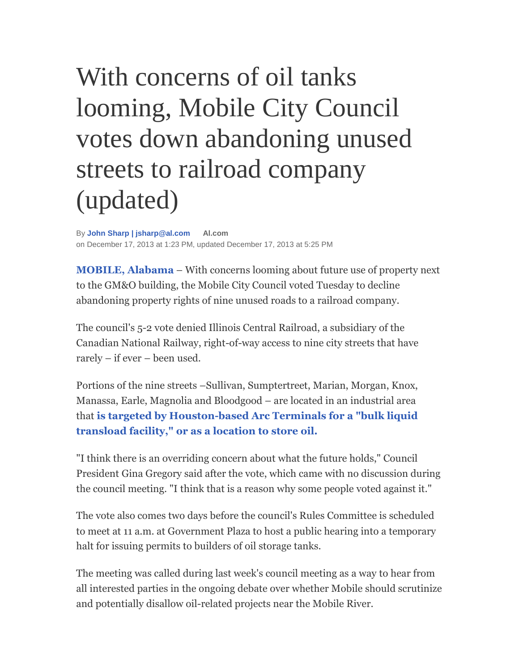## With concerns of oil tanks looming, Mobile City Council votes down abandoning unused streets to railroad company (updated)

By **John Sharp | jsharp@al.com Al.com** on December 17, 2013 at 1:23 PM, updated December 17, 2013 at 5:25 PM

**MOBILE, Alabama** – With concerns looming about future use of property next to the GM&O building, the Mobile City Council voted Tuesday to decline abandoning property rights of nine unused roads to a railroad company.

The council's 5-2 vote denied Illinois Central Railroad, a subsidiary of the Canadian National Railway, right-of-way access to nine city streets that have rarely – if ever – been used.

Portions of the nine streets –Sullivan, Sumptertreet, Marian, Morgan, Knox, Manassa, Earle, Magnolia and Bloodgood – are located in an industrial area that **is targeted by Houston-based Arc Terminals for a "bulk liquid transload facility," or as a location to store oil.**

"I think there is an overriding concern about what the future holds," Council President Gina Gregory said after the vote, which came with no discussion during the council meeting. "I think that is a reason why some people voted against it."

The vote also comes two days before the council's Rules Committee is scheduled to meet at 11 a.m. at Government Plaza to host a public hearing into a temporary halt for issuing permits to builders of oil storage tanks.

The meeting was called during last week's council meeting as a way to hear from all interested parties in the ongoing debate over whether Mobile should scrutinize and potentially disallow oil-related projects near the Mobile River.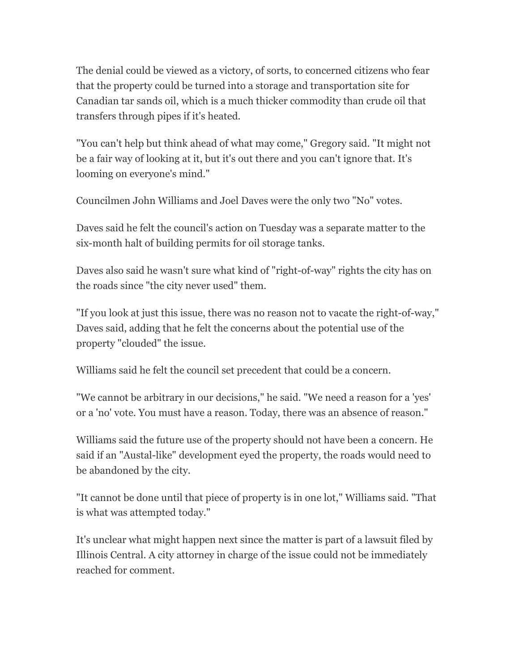The denial could be viewed as a victory, of sorts, to concerned citizens who fear that the property could be turned into a storage and transportation site for Canadian tar sands oil, which is a much thicker commodity than crude oil that transfers through pipes if it's heated.

"You can't help but think ahead of what may come," Gregory said. "It might not be a fair way of looking at it, but it's out there and you can't ignore that. It's looming on everyone's mind."

Councilmen John Williams and Joel Daves were the only two "No" votes.

Daves said he felt the council's action on Tuesday was a separate matter to the six-month halt of building permits for oil storage tanks.

Daves also said he wasn't sure what kind of "right-of-way" rights the city has on the roads since "the city never used" them.

"If you look at just this issue, there was no reason not to vacate the right-of-way," Daves said, adding that he felt the concerns about the potential use of the property "clouded" the issue.

Williams said he felt the council set precedent that could be a concern.

"We cannot be arbitrary in our decisions," he said. "We need a reason for a 'yes' or a 'no' vote. You must have a reason. Today, there was an absence of reason."

Williams said the future use of the property should not have been a concern. He said if an "Austal-like" development eyed the property, the roads would need to be abandoned by the city.

"It cannot be done until that piece of property is in one lot," Williams said. "That is what was attempted today."

It's unclear what might happen next since the matter is part of a lawsuit filed by Illinois Central. A city attorney in charge of the issue could not be immediately reached for comment.